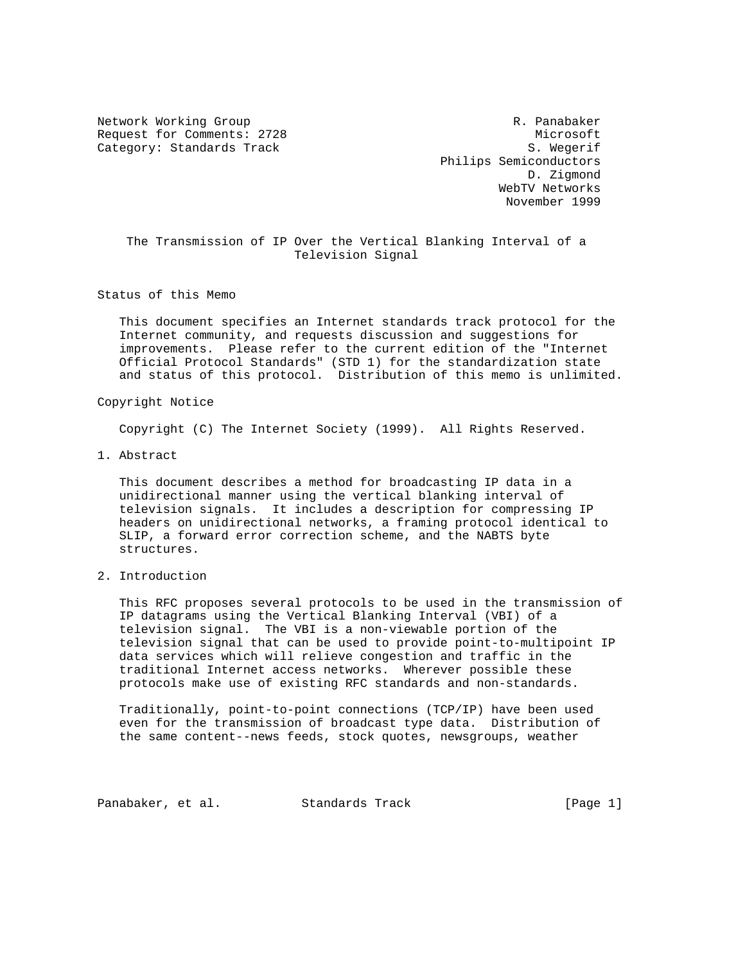Network Working Group and the control of the R. Panabaker Request for Comments: 2728 Microsoft Category: Standards Track S. Wegerif

 Philips Semiconductors D. Zigmond WebTV Networks November 1999

 The Transmission of IP Over the Vertical Blanking Interval of a Television Signal

Status of this Memo

 This document specifies an Internet standards track protocol for the Internet community, and requests discussion and suggestions for improvements. Please refer to the current edition of the "Internet Official Protocol Standards" (STD 1) for the standardization state and status of this protocol. Distribution of this memo is unlimited.

## Copyright Notice

Copyright (C) The Internet Society (1999). All Rights Reserved.

1. Abstract

 This document describes a method for broadcasting IP data in a unidirectional manner using the vertical blanking interval of television signals. It includes a description for compressing IP headers on unidirectional networks, a framing protocol identical to SLIP, a forward error correction scheme, and the NABTS byte structures.

# 2. Introduction

 This RFC proposes several protocols to be used in the transmission of IP datagrams using the Vertical Blanking Interval (VBI) of a television signal. The VBI is a non-viewable portion of the television signal that can be used to provide point-to-multipoint IP data services which will relieve congestion and traffic in the traditional Internet access networks. Wherever possible these protocols make use of existing RFC standards and non-standards.

 Traditionally, point-to-point connections (TCP/IP) have been used even for the transmission of broadcast type data. Distribution of the same content--news feeds, stock quotes, newsgroups, weather

Panabaker, et al. Standards Track [Page 1]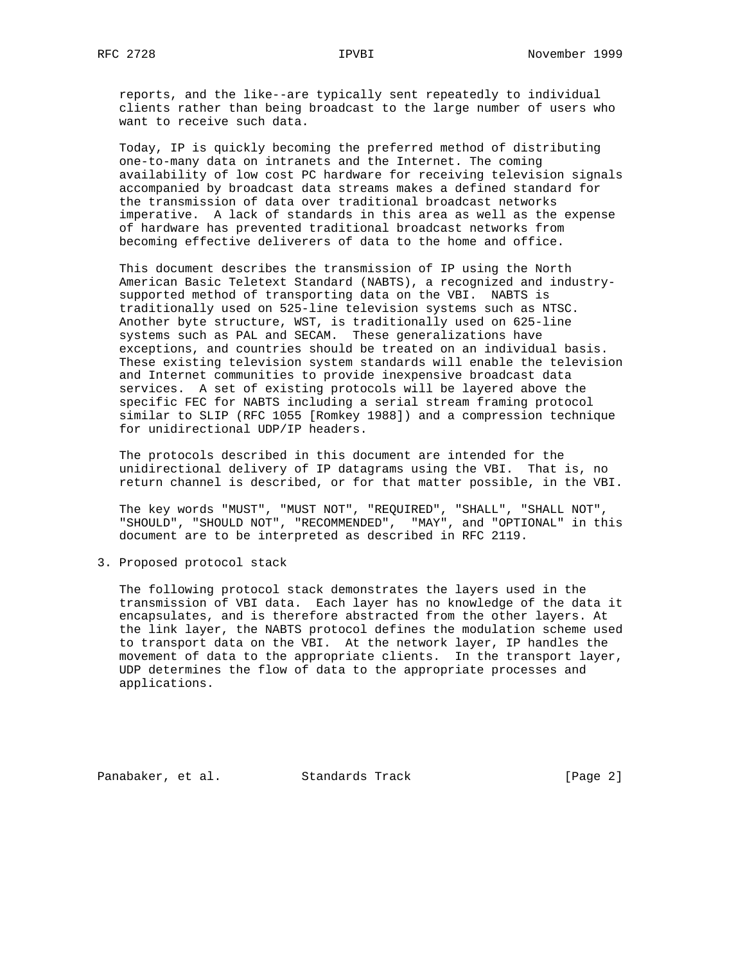reports, and the like--are typically sent repeatedly to individual clients rather than being broadcast to the large number of users who want to receive such data.

 Today, IP is quickly becoming the preferred method of distributing one-to-many data on intranets and the Internet. The coming availability of low cost PC hardware for receiving television signals accompanied by broadcast data streams makes a defined standard for the transmission of data over traditional broadcast networks imperative. A lack of standards in this area as well as the expense of hardware has prevented traditional broadcast networks from becoming effective deliverers of data to the home and office.

 This document describes the transmission of IP using the North American Basic Teletext Standard (NABTS), a recognized and industry supported method of transporting data on the VBI. NABTS is traditionally used on 525-line television systems such as NTSC. Another byte structure, WST, is traditionally used on 625-line systems such as PAL and SECAM. These generalizations have exceptions, and countries should be treated on an individual basis. These existing television system standards will enable the television and Internet communities to provide inexpensive broadcast data services. A set of existing protocols will be layered above the specific FEC for NABTS including a serial stream framing protocol similar to SLIP (RFC 1055 [Romkey 1988]) and a compression technique for unidirectional UDP/IP headers.

 The protocols described in this document are intended for the unidirectional delivery of IP datagrams using the VBI. That is, no return channel is described, or for that matter possible, in the VBI.

 The key words "MUST", "MUST NOT", "REQUIRED", "SHALL", "SHALL NOT", "SHOULD", "SHOULD NOT", "RECOMMENDED", "MAY", and "OPTIONAL" in this document are to be interpreted as described in RFC 2119.

3. Proposed protocol stack

 The following protocol stack demonstrates the layers used in the transmission of VBI data. Each layer has no knowledge of the data it encapsulates, and is therefore abstracted from the other layers. At the link layer, the NABTS protocol defines the modulation scheme used to transport data on the VBI. At the network layer, IP handles the movement of data to the appropriate clients. In the transport layer, UDP determines the flow of data to the appropriate processes and applications.

Panabaker, et al. Standards Track [Page 2]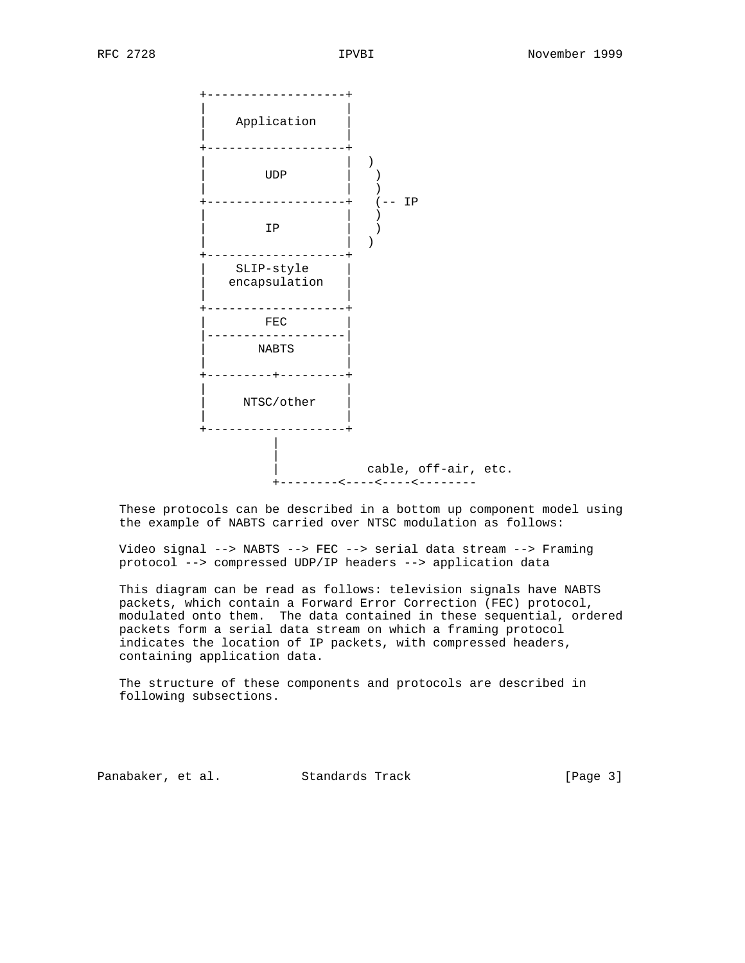+-------------------+ | | Application | | +-------------------+ | | ) | UDP | ) +-------------------+ (-- IP | | )  $\mathbb{I}P$   $\qquad$   $\qquad$   $\qquad$   $\qquad$   $\qquad$   $\qquad$   $\qquad$   $\qquad$   $\qquad$   $\qquad$   $\qquad$   $\qquad$   $\qquad$   $\qquad$   $\qquad$   $\qquad$   $\qquad$   $\qquad$   $\qquad$   $\qquad$   $\qquad$   $\qquad$   $\qquad$   $\qquad$   $\qquad$   $\qquad$   $\qquad$   $\qquad$   $\qquad$   $\qquad$   $\qquad$   $\qquad$   $\qquad$   $\qquad$   $\qquad$  | | ) +-------------------+ SLIP-style encapsulation | | +-------------------+  $FEC$  |-------------------|  $NABTS$  | | +---------+---------+ | | | NTSC/other | +-------------------+ | | cable, off-air, etc. +--------<----<----<--------

 These protocols can be described in a bottom up component model using the example of NABTS carried over NTSC modulation as follows:

 Video signal --> NABTS --> FEC --> serial data stream --> Framing protocol --> compressed UDP/IP headers --> application data

 This diagram can be read as follows: television signals have NABTS packets, which contain a Forward Error Correction (FEC) protocol, modulated onto them. The data contained in these sequential, ordered packets form a serial data stream on which a framing protocol indicates the location of IP packets, with compressed headers, containing application data.

 The structure of these components and protocols are described in following subsections.

Panabaker, et al. Standards Track [Page 3]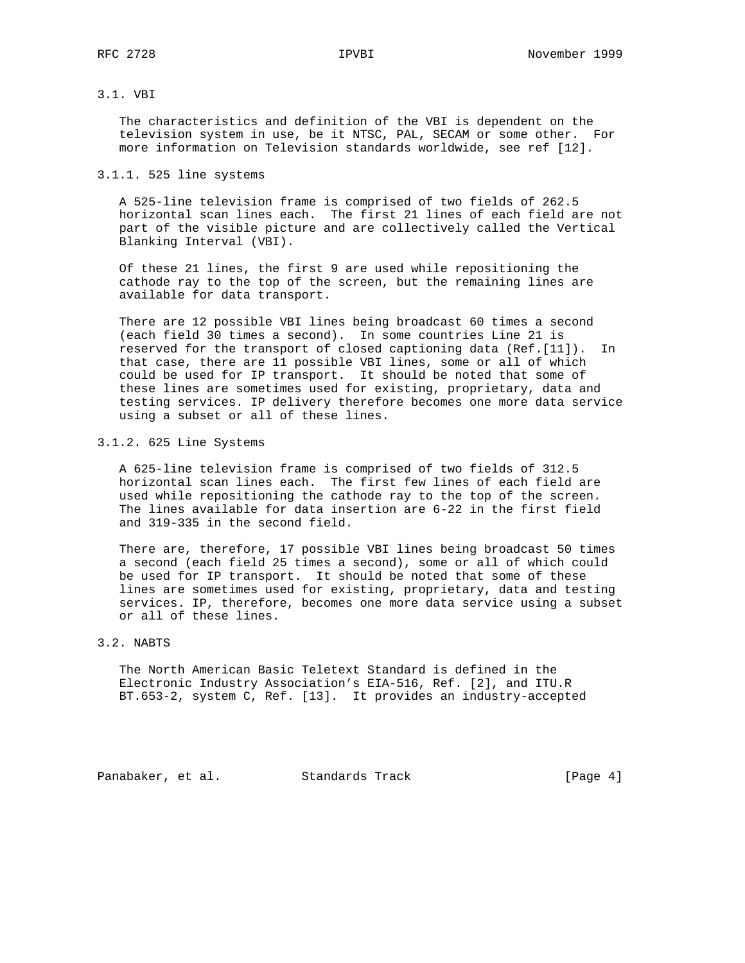# 3.1. VBI

 The characteristics and definition of the VBI is dependent on the television system in use, be it NTSC, PAL, SECAM or some other. For more information on Television standards worldwide, see ref [12].

### 3.1.1. 525 line systems

 A 525-line television frame is comprised of two fields of 262.5 horizontal scan lines each. The first 21 lines of each field are not part of the visible picture and are collectively called the Vertical Blanking Interval (VBI).

 Of these 21 lines, the first 9 are used while repositioning the cathode ray to the top of the screen, but the remaining lines are available for data transport.

 There are 12 possible VBI lines being broadcast 60 times a second (each field 30 times a second). In some countries Line 21 is reserved for the transport of closed captioning data (Ref.[11]). In that case, there are 11 possible VBI lines, some or all of which could be used for IP transport. It should be noted that some of these lines are sometimes used for existing, proprietary, data and testing services. IP delivery therefore becomes one more data service using a subset or all of these lines.

#### 3.1.2. 625 Line Systems

 A 625-line television frame is comprised of two fields of 312.5 horizontal scan lines each. The first few lines of each field are used while repositioning the cathode ray to the top of the screen. The lines available for data insertion are 6-22 in the first field and 319-335 in the second field.

 There are, therefore, 17 possible VBI lines being broadcast 50 times a second (each field 25 times a second), some or all of which could be used for IP transport. It should be noted that some of these lines are sometimes used for existing, proprietary, data and testing services. IP, therefore, becomes one more data service using a subset or all of these lines.

# 3.2. NABTS

 The North American Basic Teletext Standard is defined in the Electronic Industry Association's EIA-516, Ref. [2], and ITU.R BT.653-2, system C, Ref. [13]. It provides an industry-accepted

Panabaker, et al. Standards Track [Page 4]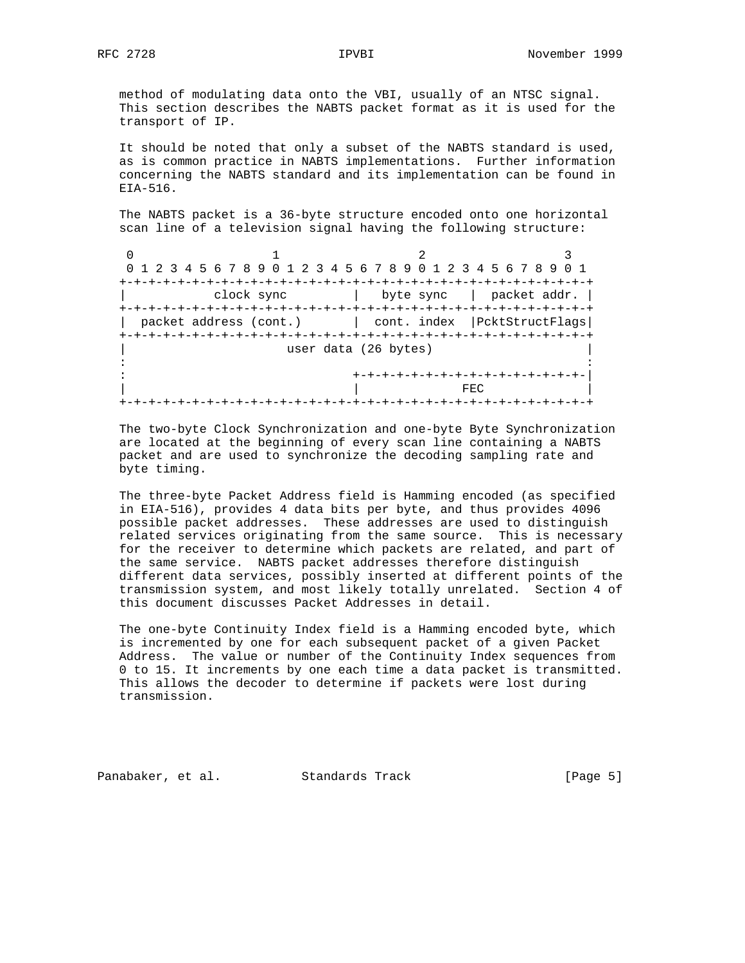method of modulating data onto the VBI, usually of an NTSC signal. This section describes the NABTS packet format as it is used for the transport of IP.

 It should be noted that only a subset of the NABTS standard is used, as is common practice in NABTS implementations. Further information concerning the NABTS standard and its implementation can be found in EIA-516.

 The NABTS packet is a 36-byte structure encoded onto one horizontal scan line of a television signal having the following structure:

0  $1$  2 3 0 1 2 3 4 5 6 7 8 9 0 1 2 3 4 5 6 7 8 9 0 1 2 3 4 5 6 7 8 9 0 1 +-+-+-+-+-+-+-+-+-+-+-+-+-+-+-+-+-+-+-+-+-+-+-+-+-+-+-+-+-+-+-+-+ | clock sync | byte sync | packet addr. | +-+-+-+-+-+-+-+-+-+-+-+-+-+-+-+-+-+-+-+-+-+-+-+-+-+-+-+-+-+-+-+-+ | packet address (cont.) | cont. index | PcktStructFlags| +-+-+-+-+-+-+-+-+-+-+-+-+-+-+-+-+-+-+-+-+-+-+-+-+-+-+-+-+-+-+-+-+ user data (26 bytes) in the contract of the contract of the contract of the contract of the contract of the contract of the contract : +-+-+-+-+-+-+-+-+-+-+-+-+-+-+-+-| | | FEC | +-+-+-+-+-+-+-+-+-+-+-+-+-+-+-+-+-+-+-+-+-+-+-+-+-+-+-+-+-+-+-+-+

 The two-byte Clock Synchronization and one-byte Byte Synchronization are located at the beginning of every scan line containing a NABTS packet and are used to synchronize the decoding sampling rate and byte timing.

 The three-byte Packet Address field is Hamming encoded (as specified in EIA-516), provides 4 data bits per byte, and thus provides 4096 possible packet addresses. These addresses are used to distinguish related services originating from the same source. This is necessary for the receiver to determine which packets are related, and part of the same service. NABTS packet addresses therefore distinguish different data services, possibly inserted at different points of the transmission system, and most likely totally unrelated. Section 4 of this document discusses Packet Addresses in detail.

 The one-byte Continuity Index field is a Hamming encoded byte, which is incremented by one for each subsequent packet of a given Packet Address. The value or number of the Continuity Index sequences from 0 to 15. It increments by one each time a data packet is transmitted. This allows the decoder to determine if packets were lost during transmission.

Panabaker, et al. Standards Track [Page 5]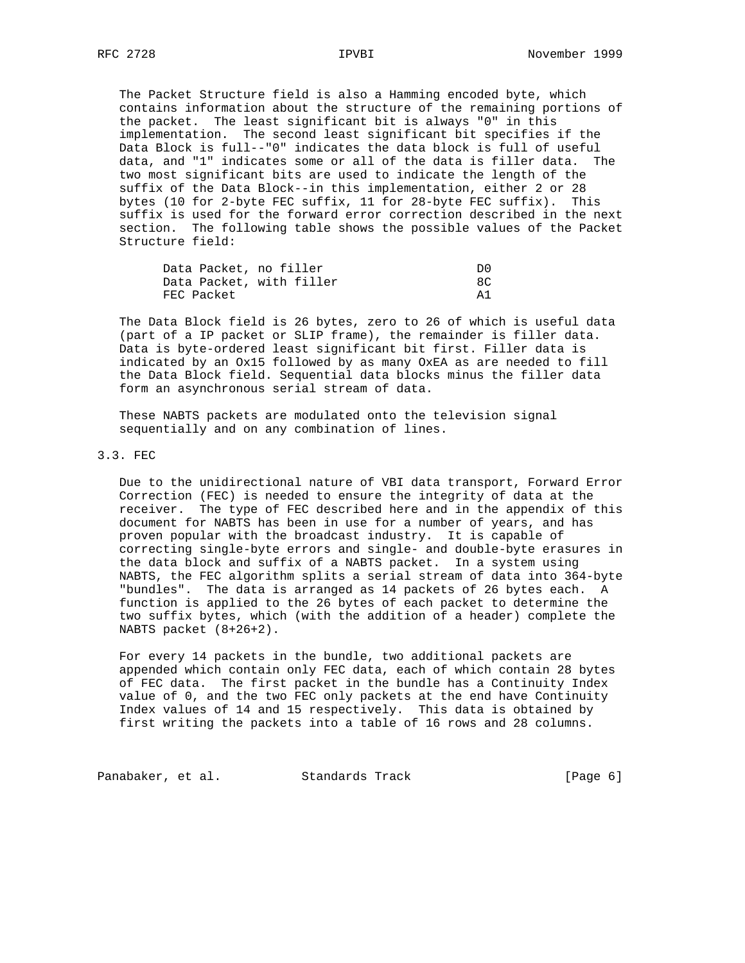The Packet Structure field is also a Hamming encoded byte, which contains information about the structure of the remaining portions of the packet. The least significant bit is always "0" in this implementation. The second least significant bit specifies if the Data Block is full--"0" indicates the data block is full of useful data, and "1" indicates some or all of the data is filler data. The two most significant bits are used to indicate the length of the suffix of the Data Block--in this implementation, either 2 or 28 bytes (10 for 2-byte FEC suffix, 11 for 28-byte FEC suffix). This suffix is used for the forward error correction described in the next section. The following table shows the possible values of the Packet Structure field:

| Data Packet, no filler |                          | D0 |
|------------------------|--------------------------|----|
|                        | Data Packet, with filler |    |
| FEC Packet             |                          | A1 |

 The Data Block field is 26 bytes, zero to 26 of which is useful data (part of a IP packet or SLIP frame), the remainder is filler data. Data is byte-ordered least significant bit first. Filler data is indicated by an Ox15 followed by as many OxEA as are needed to fill the Data Block field. Sequential data blocks minus the filler data form an asynchronous serial stream of data.

 These NABTS packets are modulated onto the television signal sequentially and on any combination of lines.

#### 3.3. FEC

 Due to the unidirectional nature of VBI data transport, Forward Error Correction (FEC) is needed to ensure the integrity of data at the receiver. The type of FEC described here and in the appendix of this document for NABTS has been in use for a number of years, and has proven popular with the broadcast industry. It is capable of correcting single-byte errors and single- and double-byte erasures in the data block and suffix of a NABTS packet. In a system using NABTS, the FEC algorithm splits a serial stream of data into 364-byte "bundles". The data is arranged as 14 packets of 26 bytes each. A function is applied to the 26 bytes of each packet to determine the two suffix bytes, which (with the addition of a header) complete the NABTS packet (8+26+2).

 For every 14 packets in the bundle, two additional packets are appended which contain only FEC data, each of which contain 28 bytes of FEC data. The first packet in the bundle has a Continuity Index value of 0, and the two FEC only packets at the end have Continuity Index values of 14 and 15 respectively. This data is obtained by first writing the packets into a table of 16 rows and 28 columns.

Panabaker, et al. Standards Track (Page 6)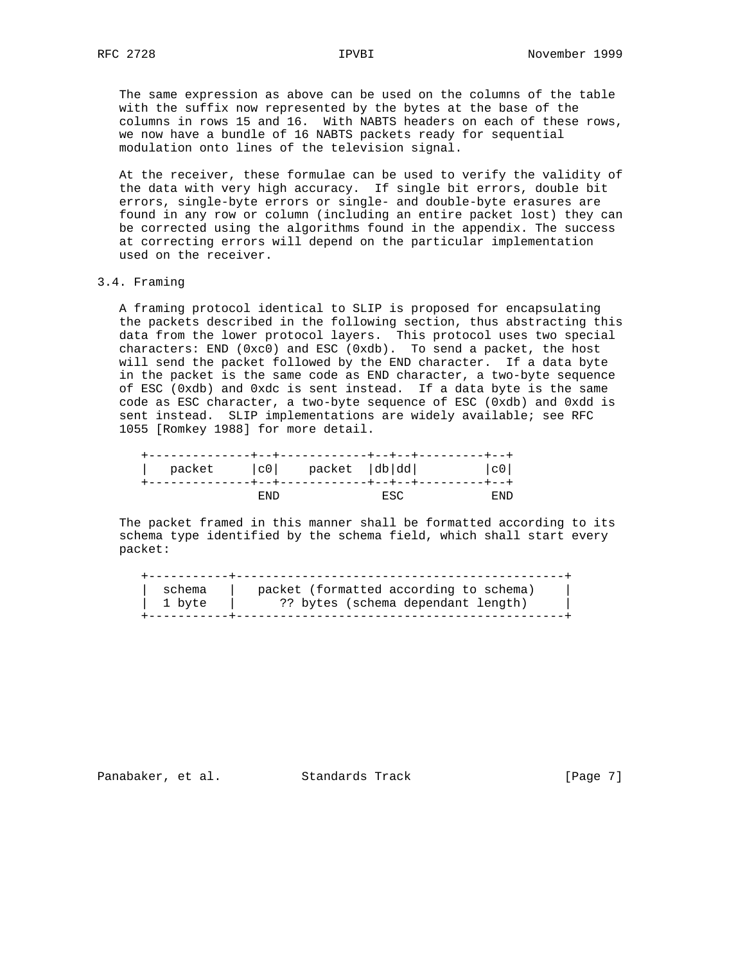The same expression as above can be used on the columns of the table with the suffix now represented by the bytes at the base of the columns in rows 15 and 16. With NABTS headers on each of these rows, we now have a bundle of 16 NABTS packets ready for sequential modulation onto lines of the television signal.

 At the receiver, these formulae can be used to verify the validity of the data with very high accuracy. If single bit errors, double bit errors, single-byte errors or single- and double-byte erasures are found in any row or column (including an entire packet lost) they can be corrected using the algorithms found in the appendix. The success at correcting errors will depend on the particular implementation used on the receiver.

## 3.4. Framing

 A framing protocol identical to SLIP is proposed for encapsulating the packets described in the following section, thus abstracting this data from the lower protocol layers. This protocol uses two special characters: END (0xc0) and ESC (0xdb). To send a packet, the host will send the packet followed by the END character. If a data byte in the packet is the same code as END character, a two-byte sequence of ESC (0xdb) and 0xdc is sent instead. If a data byte is the same code as ESC character, a two-byte sequence of ESC (0xdb) and 0xdd is sent instead. SLIP implementations are widely available; see RFC 1055 [Romkey 1988] for more detail.

| packet  c0  packet  db dd |      |     | c0   |
|---------------------------|------|-----|------|
|                           |      |     |      |
|                           | END. | ESC | END. |

 The packet framed in this manner shall be formatted according to its schema type identified by the schema field, which shall start every packet:

| schema | packet (formatted according to schema) |
|--------|----------------------------------------|
| 1 byte | ?? bytes (schema dependant length)     |
|        |                                        |

Panabaker, et al. Standards Track [Page 7]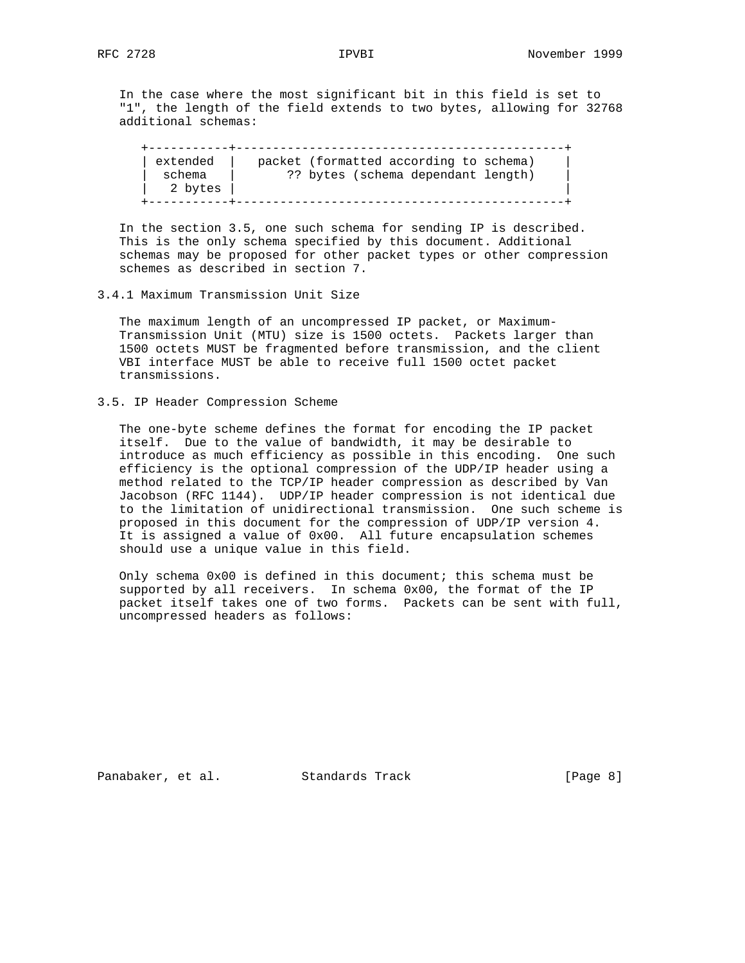In the case where the most significant bit in this field is set to "1", the length of the field extends to two bytes, allowing for 32768 additional schemas:

 +-----------+---------------------------------------------+ | extended | packet (formatted according to schema) | | schema | ?? bytes (schema dependant length) | | 2 bytes | | +-----------+---------------------------------------------+

 In the section 3.5, one such schema for sending IP is described. This is the only schema specified by this document. Additional schemas may be proposed for other packet types or other compression schemes as described in section 7.

### 3.4.1 Maximum Transmission Unit Size

 The maximum length of an uncompressed IP packet, or Maximum- Transmission Unit (MTU) size is 1500 octets. Packets larger than 1500 octets MUST be fragmented before transmission, and the client VBI interface MUST be able to receive full 1500 octet packet transmissions.

3.5. IP Header Compression Scheme

 The one-byte scheme defines the format for encoding the IP packet itself. Due to the value of bandwidth, it may be desirable to introduce as much efficiency as possible in this encoding. One such efficiency is the optional compression of the UDP/IP header using a method related to the TCP/IP header compression as described by Van Jacobson (RFC 1144). UDP/IP header compression is not identical due to the limitation of unidirectional transmission. One such scheme is proposed in this document for the compression of UDP/IP version 4. It is assigned a value of 0x00. All future encapsulation schemes should use a unique value in this field.

Only schema  $0x00$  is defined in this document; this schema must be supported by all receivers. In schema 0x00, the format of the IP packet itself takes one of two forms. Packets can be sent with full, uncompressed headers as follows:

Panabaker, et al. Standards Track [Page 8]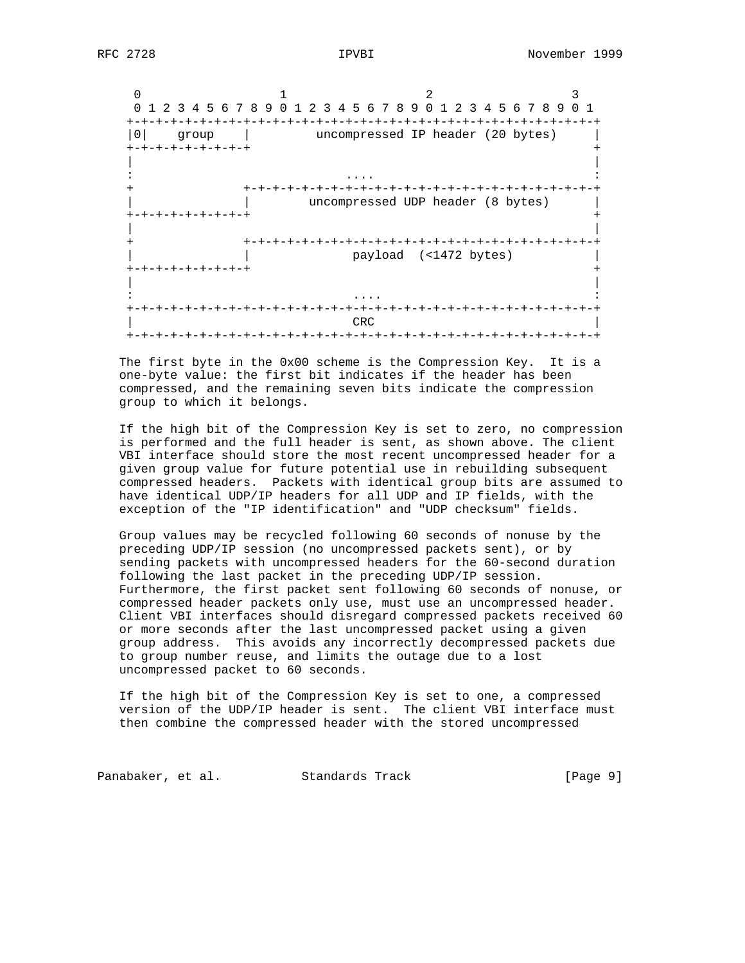$0$  1 2 3 0 1 2 3 4 5 6 7 8 9 0 1 2 3 4 5 6 7 8 9 0 1 2 3 4 5 6 7 8 9 0 1 +-+-+-+-+-+-+-+-+-+-+-+-+-+-+-+-+-+-+-+-+-+-+-+-+-+-+-+-+-+-+-+-+ |0| group | uncompressed IP header (20 bytes) | +-+-+-+-+-+-+-+-+ + | | : .... : + +-+-+-+-+-+-+-+-+-+-+-+-+-+-+-+-+-+-+-+-+-+-+-+-+ | | uncompressed UDP header (8 bytes) | +-+-+-+-+-+-+-+-+ + | | + +-+-+-+-+-+-+-+-+-+-+-+-+-+-+-+-+-+-+-+-+-+-+-+-+ payload (<1472 bytes) +-+-+-+-+-+-+-+-+ + | | : .... : +-+-+-+-+-+-+-+-+-+-+-+-+-+-+-+-+-+-+-+-+-+-+-+-+-+-+-+-+-+-+-+-+ | CRC | CRC | CRC | CRC | CRC | CRC | CRC | CRC | CRC | CRC | CRC | CRC | CRC | CRC | CRC | CRC | CRC | CRC | CRC | CRC | CRC | CRC | CRC | CRC | CRC | CRC | CRC | CRC | CRC | CRC | CRC | CRC | CRC | CRC | CRC | CRC | CRC +-+-+-+-+-+-+-+-+-+-+-+-+-+-+-+-+-+-+-+-+-+-+-+-+-+-+-+-+-+-+-+-+

 The first byte in the 0x00 scheme is the Compression Key. It is a one-byte value: the first bit indicates if the header has been compressed, and the remaining seven bits indicate the compression group to which it belongs.

 If the high bit of the Compression Key is set to zero, no compression is performed and the full header is sent, as shown above. The client VBI interface should store the most recent uncompressed header for a given group value for future potential use in rebuilding subsequent compressed headers. Packets with identical group bits are assumed to have identical UDP/IP headers for all UDP and IP fields, with the exception of the "IP identification" and "UDP checksum" fields.

 Group values may be recycled following 60 seconds of nonuse by the preceding UDP/IP session (no uncompressed packets sent), or by sending packets with uncompressed headers for the 60-second duration following the last packet in the preceding UDP/IP session. Furthermore, the first packet sent following 60 seconds of nonuse, or compressed header packets only use, must use an uncompressed header. Client VBI interfaces should disregard compressed packets received 60 or more seconds after the last uncompressed packet using a given group address. This avoids any incorrectly decompressed packets due to group number reuse, and limits the outage due to a lost uncompressed packet to 60 seconds.

 If the high bit of the Compression Key is set to one, a compressed version of the UDP/IP header is sent. The client VBI interface must then combine the compressed header with the stored uncompressed

Panabaker, et al. Standards Track [Page 9]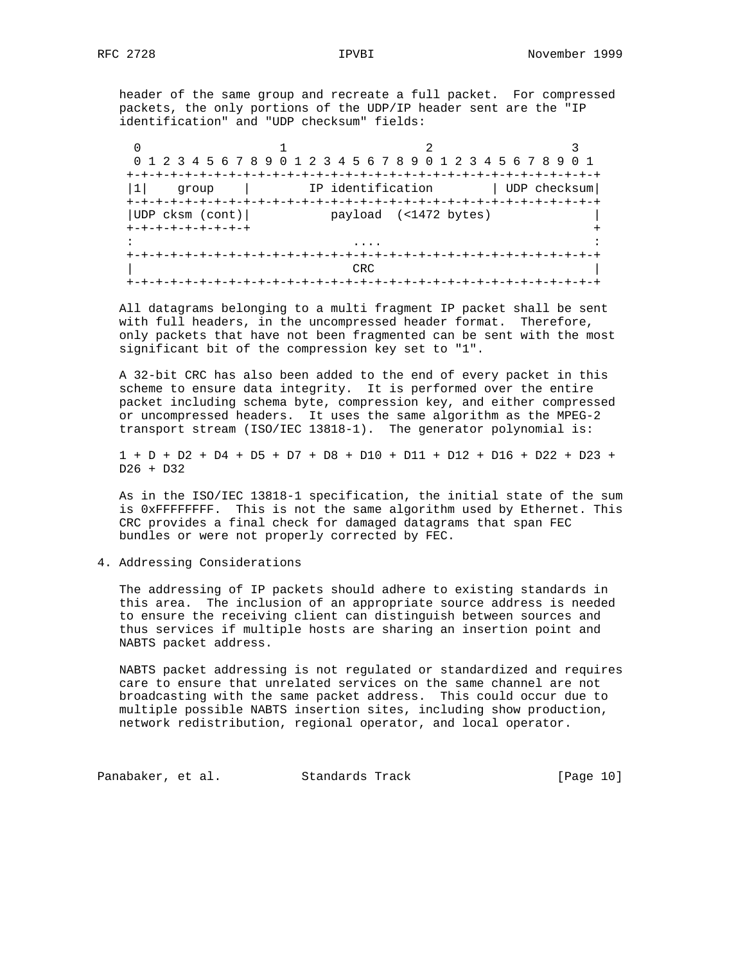header of the same group and recreate a full packet. For compressed packets, the only portions of the UDP/IP header sent are the "IP identification" and "UDP checksum" fields:

| 0 1 2 3 4 5 6 7 8 9 0 1 2 3 4 5 6 7 8 9 0 1 2 3 4 5 6 7 8 9 |                   |                       | 0 1          |
|-------------------------------------------------------------|-------------------|-----------------------|--------------|
|                                                             |                   |                       |              |
| qroup                                                       | IP identification |                       | UDP checksum |
|                                                             |                   |                       |              |
| UDP cksm (cont)                                             |                   | payload (<1472 bytes) |              |
| +-+-+-+-+-+-+-+-+                                           |                   |                       |              |
|                                                             |                   |                       |              |
|                                                             |                   |                       |              |
|                                                             | CRC.              |                       |              |
|                                                             |                   |                       |              |

 All datagrams belonging to a multi fragment IP packet shall be sent with full headers, in the uncompressed header format. Therefore, only packets that have not been fragmented can be sent with the most significant bit of the compression key set to "1".

 A 32-bit CRC has also been added to the end of every packet in this scheme to ensure data integrity. It is performed over the entire packet including schema byte, compression key, and either compressed or uncompressed headers. It uses the same algorithm as the MPEG-2 transport stream (ISO/IEC 13818-1). The generator polynomial is:

 1 + D + D2 + D4 + D5 + D7 + D8 + D10 + D11 + D12 + D16 + D22 + D23 + D26 + D32

 As in the ISO/IEC 13818-1 specification, the initial state of the sum is 0xFFFFFFFF. This is not the same algorithm used by Ethernet. This CRC provides a final check for damaged datagrams that span FEC bundles or were not properly corrected by FEC.

4. Addressing Considerations

 The addressing of IP packets should adhere to existing standards in this area. The inclusion of an appropriate source address is needed to ensure the receiving client can distinguish between sources and thus services if multiple hosts are sharing an insertion point and NABTS packet address.

 NABTS packet addressing is not regulated or standardized and requires care to ensure that unrelated services on the same channel are not broadcasting with the same packet address. This could occur due to multiple possible NABTS insertion sites, including show production, network redistribution, regional operator, and local operator.

Panabaker, et al. Standards Track [Page 10]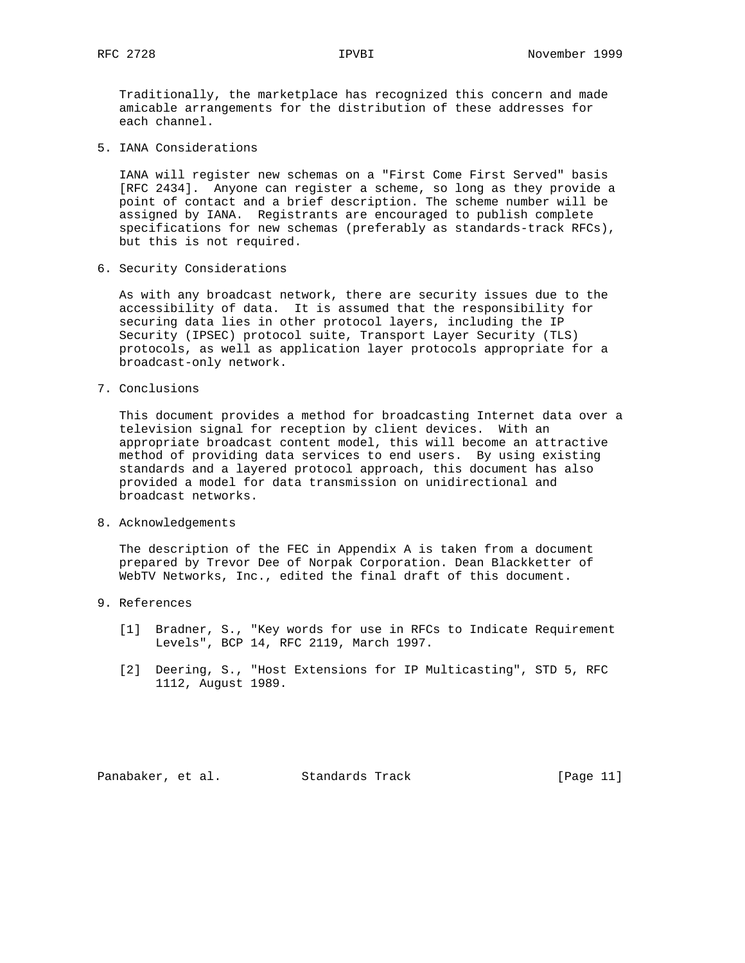Traditionally, the marketplace has recognized this concern and made amicable arrangements for the distribution of these addresses for each channel.

5. IANA Considerations

 IANA will register new schemas on a "First Come First Served" basis [RFC 2434]. Anyone can register a scheme, so long as they provide a point of contact and a brief description. The scheme number will be assigned by IANA. Registrants are encouraged to publish complete specifications for new schemas (preferably as standards-track RFCs), but this is not required.

6. Security Considerations

 As with any broadcast network, there are security issues due to the accessibility of data. It is assumed that the responsibility for securing data lies in other protocol layers, including the IP Security (IPSEC) protocol suite, Transport Layer Security (TLS) protocols, as well as application layer protocols appropriate for a broadcast-only network.

7. Conclusions

 This document provides a method for broadcasting Internet data over a television signal for reception by client devices. With an appropriate broadcast content model, this will become an attractive method of providing data services to end users. By using existing standards and a layered protocol approach, this document has also provided a model for data transmission on unidirectional and broadcast networks.

8. Acknowledgements

 The description of the FEC in Appendix A is taken from a document prepared by Trevor Dee of Norpak Corporation. Dean Blackketter of WebTV Networks, Inc., edited the final draft of this document.

- 9. References
	- [1] Bradner, S., "Key words for use in RFCs to Indicate Requirement Levels", BCP 14, RFC 2119, March 1997.
	- [2] Deering, S., "Host Extensions for IP Multicasting", STD 5, RFC 1112, August 1989.

Panabaker, et al. Standards Track [Page 11]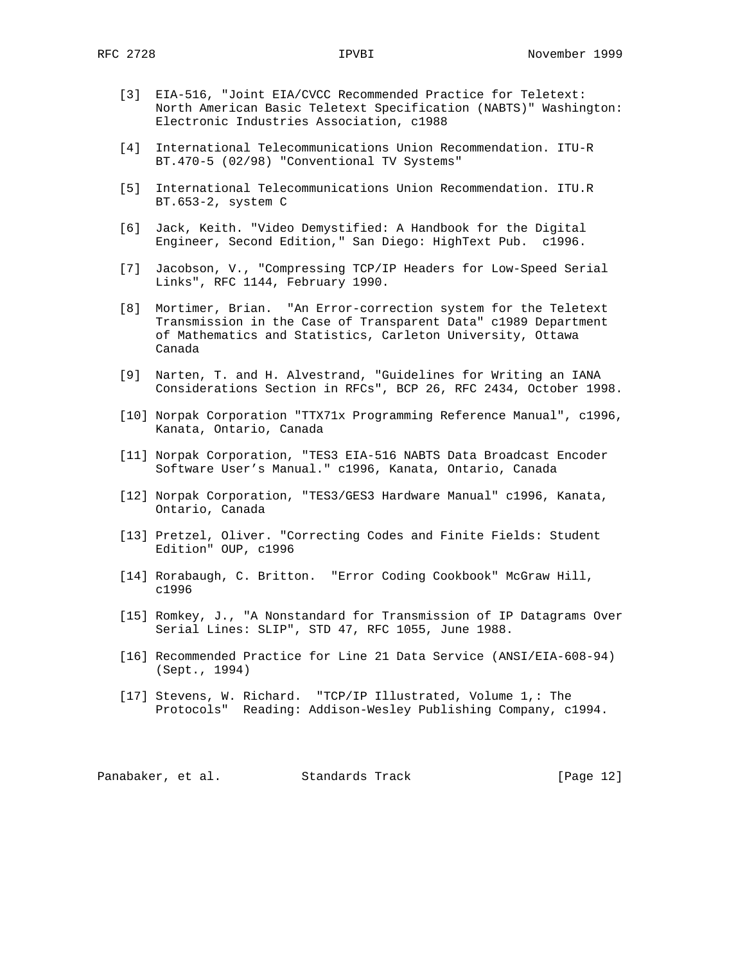- [3] EIA-516, "Joint EIA/CVCC Recommended Practice for Teletext: North American Basic Teletext Specification (NABTS)" Washington: Electronic Industries Association, c1988
- [4] International Telecommunications Union Recommendation. ITU-R BT.470-5 (02/98) "Conventional TV Systems"
- [5] International Telecommunications Union Recommendation. ITU.R BT.653-2, system C
- [6] Jack, Keith. "Video Demystified: A Handbook for the Digital Engineer, Second Edition," San Diego: HighText Pub. c1996.
- [7] Jacobson, V., "Compressing TCP/IP Headers for Low-Speed Serial Links", RFC 1144, February 1990.
- [8] Mortimer, Brian. "An Error-correction system for the Teletext Transmission in the Case of Transparent Data" c1989 Department of Mathematics and Statistics, Carleton University, Ottawa Canada
- [9] Narten, T. and H. Alvestrand, "Guidelines for Writing an IANA Considerations Section in RFCs", BCP 26, RFC 2434, October 1998.
- [10] Norpak Corporation "TTX71x Programming Reference Manual", c1996, Kanata, Ontario, Canada
- [11] Norpak Corporation, "TES3 EIA-516 NABTS Data Broadcast Encoder Software User's Manual." c1996, Kanata, Ontario, Canada
- [12] Norpak Corporation, "TES3/GES3 Hardware Manual" c1996, Kanata, Ontario, Canada
- [13] Pretzel, Oliver. "Correcting Codes and Finite Fields: Student Edition" OUP, c1996
- [14] Rorabaugh, C. Britton. "Error Coding Cookbook" McGraw Hill, c1996
- [15] Romkey, J., "A Nonstandard for Transmission of IP Datagrams Over Serial Lines: SLIP", STD 47, RFC 1055, June 1988.
- [16] Recommended Practice for Line 21 Data Service (ANSI/EIA-608-94) (Sept., 1994)
- [17] Stevens, W. Richard. "TCP/IP Illustrated, Volume 1,: The Protocols" Reading: Addison-Wesley Publishing Company, c1994.

Panabaker, et al. Standards Track [Page 12]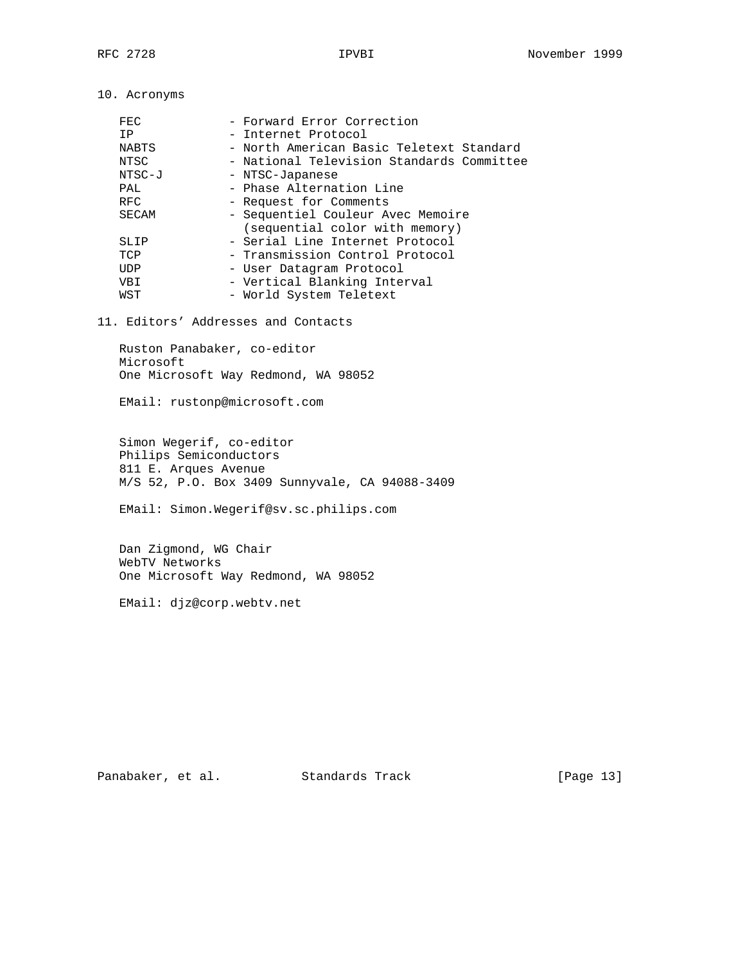10. Acronyms

| FEC          | - Forward Error Correction                |
|--------------|-------------------------------------------|
| IP           | - Internet Protocol                       |
| <b>NABTS</b> | - North American Basic Teletext Standard  |
| NTSC         | - National Television Standards Committee |
| NTSC-J       | - NTSC-Japanese                           |
| PAL          | - Phase Alternation Line                  |
| <b>RFC</b>   | - Request for Comments                    |
| SECAM        | - Sequentiel Couleur Avec Memoire         |
|              | (sequential color with memory)            |
| SLIP         | - Serial Line Internet Protocol           |
| TCP          | - Transmission Control Protocol           |
| UDP          | - User Datagram Protocol                  |
| VBI          | - Vertical Blanking Interval              |
| WST          | - World System Teletext                   |

11. Editors' Addresses and Contacts

 Ruston Panabaker, co-editor Microsoft One Microsoft Way Redmond, WA 98052

EMail: rustonp@microsoft.com

 Simon Wegerif, co-editor Philips Semiconductors 811 E. Arques Avenue M/S 52, P.O. Box 3409 Sunnyvale, CA 94088-3409

EMail: Simon.Wegerif@sv.sc.philips.com

 Dan Zigmond, WG Chair WebTV Networks One Microsoft Way Redmond, WA 98052

EMail: djz@corp.webtv.net

Panabaker, et al. Standards Track [Page 13]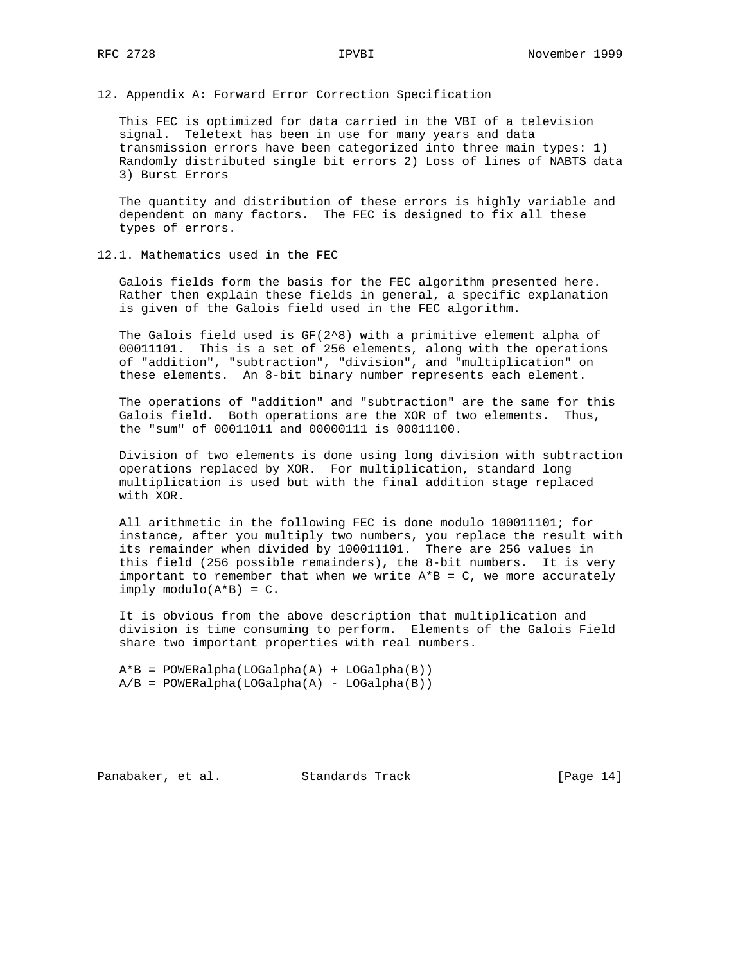12. Appendix A: Forward Error Correction Specification

 This FEC is optimized for data carried in the VBI of a television signal. Teletext has been in use for many years and data transmission errors have been categorized into three main types: 1) Randomly distributed single bit errors 2) Loss of lines of NABTS data 3) Burst Errors

 The quantity and distribution of these errors is highly variable and dependent on many factors. The FEC is designed to fix all these types of errors.

#### 12.1. Mathematics used in the FEC

 Galois fields form the basis for the FEC algorithm presented here. Rather then explain these fields in general, a specific explanation is given of the Galois field used in the FEC algorithm.

The Galois field used is  $GF(2^8)$  with a primitive element alpha of 00011101. This is a set of 256 elements, along with the operations of "addition", "subtraction", "division", and "multiplication" on these elements. An 8-bit binary number represents each element.

 The operations of "addition" and "subtraction" are the same for this Galois field. Both operations are the XOR of two elements. Thus, the "sum" of 00011011 and 00000111 is 00011100.

 Division of two elements is done using long division with subtraction operations replaced by XOR. For multiplication, standard long multiplication is used but with the final addition stage replaced with XOR.

 All arithmetic in the following FEC is done modulo 100011101; for instance, after you multiply two numbers, you replace the result with its remainder when divided by 100011101. There are 256 values in this field (256 possible remainders), the 8-bit numbers. It is very important to remember that when we write  $A*B = C$ , we more accurately  $imply$  modulo( $A*B$ ) = C.

 It is obvious from the above description that multiplication and division is time consuming to perform. Elements of the Galois Field share two important properties with real numbers.

 A\*B = POWERalpha(LOGalpha(A) + LOGalpha(B))  $A/B = POWERalpha(LOGalpha(A) - LOGalpha(B))$ 

Panabaker, et al. Standards Track [Page 14]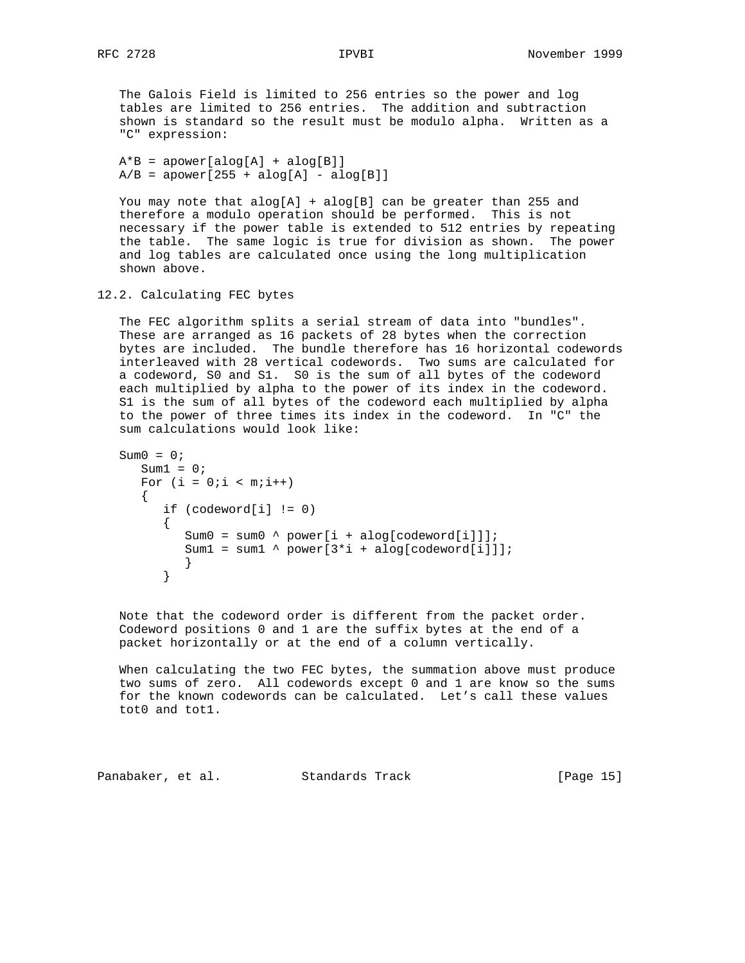The Galois Field is limited to 256 entries so the power and log tables are limited to 256 entries. The addition and subtraction shown is standard so the result must be modulo alpha. Written as a "C" expression:

```
A*B = apower[alog[A] + alog[B]]A/B = apower[255 + alog[A] - alog[B]]
```
You may note that  $alog[A] +alog[B]$  can be greater than 255 and therefore a modulo operation should be performed. This is not necessary if the power table is extended to 512 entries by repeating the table. The same logic is true for division as shown. The power and log tables are calculated once using the long multiplication shown above.

```
12.2. Calculating FEC bytes
```
 The FEC algorithm splits a serial stream of data into "bundles". These are arranged as 16 packets of 28 bytes when the correction bytes are included. The bundle therefore has 16 horizontal codewords interleaved with 28 vertical codewords. Two sums are calculated for a codeword, S0 and S1. S0 is the sum of all bytes of the codeword each multiplied by alpha to the power of its index in the codeword. S1 is the sum of all bytes of the codeword each multiplied by alpha to the power of three times its index in the codeword. In "C" the sum calculations would look like:

```
Sum0 = 0;Sum1 = 0;For (i = 0:i < m:i++) {
         if (codeword[i] != 0)
        \{Sum0 = sum0 \wedge power[i + alog[codeword[i]]];Sum1 = sum1 \land power[3*i + alog[codeword[i]]];
 }
 }
```
 Note that the codeword order is different from the packet order. Codeword positions 0 and 1 are the suffix bytes at the end of a packet horizontally or at the end of a column vertically.

 When calculating the two FEC bytes, the summation above must produce two sums of zero. All codewords except 0 and 1 are know so the sums for the known codewords can be calculated. Let's call these values tot0 and tot1.

Panabaker, et al. Standards Track [Page 15]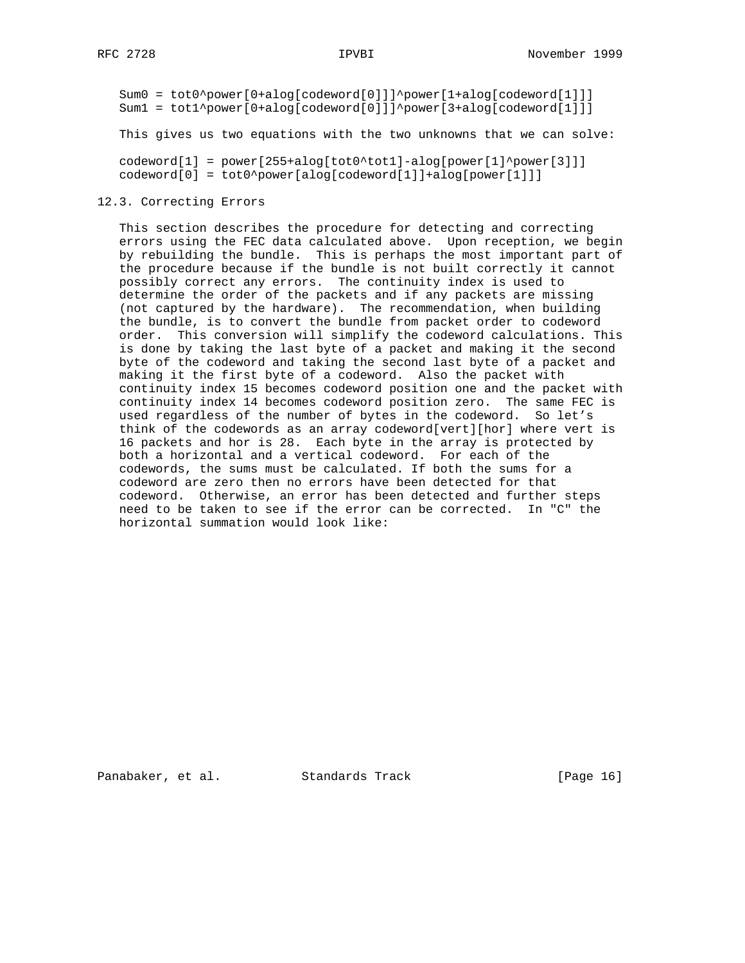Sum0 = tot0^power[0+alog[codeword[0]]]^power[1+alog[codeword[1]]] Sum1 = tot1^power[0+alog[codeword[0]]]^power[3+alog[codeword[1]]]

This gives us two equations with the two unknowns that we can solve:

 $codeword[1] = power[255 + alog[tot0^*tot1] - alog[power[1]^*power[3]]]$ codeword[0] = tot0^power[alog[codeword[1]]+alog[power[1]]]

#### 12.3. Correcting Errors

 This section describes the procedure for detecting and correcting errors using the FEC data calculated above. Upon reception, we begin by rebuilding the bundle. This is perhaps the most important part of the procedure because if the bundle is not built correctly it cannot possibly correct any errors. The continuity index is used to determine the order of the packets and if any packets are missing (not captured by the hardware). The recommendation, when building the bundle, is to convert the bundle from packet order to codeword order. This conversion will simplify the codeword calculations. This is done by taking the last byte of a packet and making it the second byte of the codeword and taking the second last byte of a packet and making it the first byte of a codeword. Also the packet with continuity index 15 becomes codeword position one and the packet with continuity index 14 becomes codeword position zero. The same FEC is used regardless of the number of bytes in the codeword. So let's think of the codewords as an array codeword[vert][hor] where vert is 16 packets and hor is 28. Each byte in the array is protected by both a horizontal and a vertical codeword. For each of the codewords, the sums must be calculated. If both the sums for a codeword are zero then no errors have been detected for that codeword. Otherwise, an error has been detected and further steps need to be taken to see if the error can be corrected. In "C" the horizontal summation would look like:

Panabaker, et al. Standards Track [Page 16]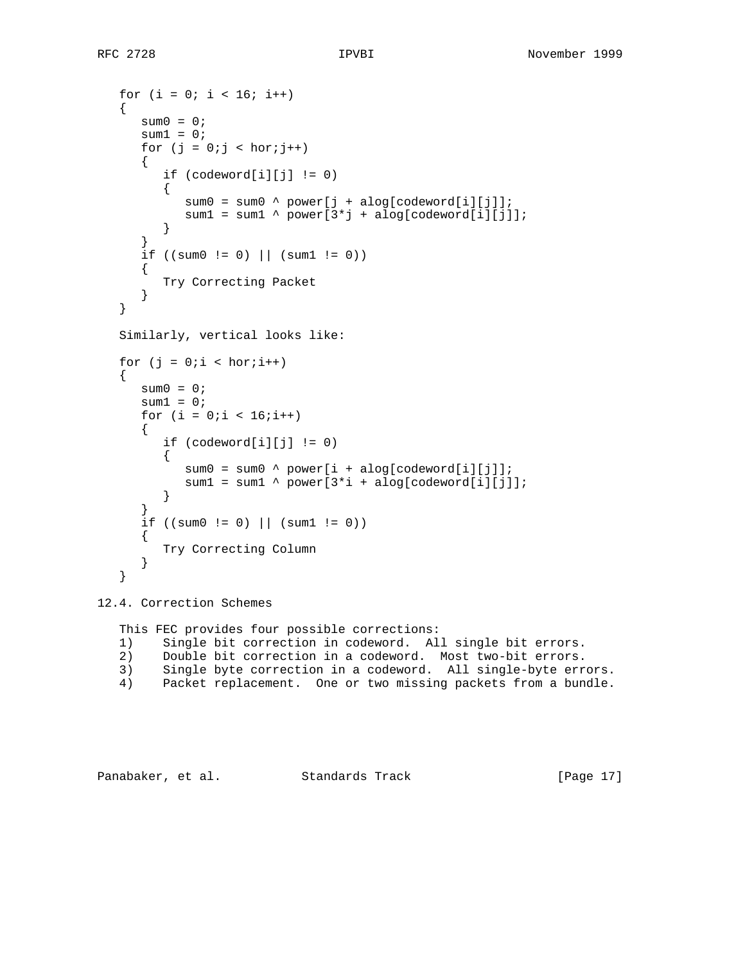```
for (i = 0; i < 16; i++)\left\{ \right.sum0 = 0;sum1 = 0;
     for (j = 0; j < hor(j++) {
          if (codeword[i][j] != 0)
          {
            sum0 = sum0 \wedge power[j + alog[codeword[i][j]];sum1 = sum1 ^ power[3*j + alog[codeword[i][j]];
 }
       }
      if ((sum0 := 0) || (sum1 := 0))\mathcal{L} Try Correcting Packet
       }
   }
   Similarly, vertical looks like:
  for (j = 0:i < hor(i++) {
     sum0 = 0;sum1 = 0;
      for (i = 0:i < 16:i++)\mathcal{L}if (codeword[i][j] != 0)\{sum0 = sum0 ^ power[i + alog[codeword[i][j]];
         sum1 = sum1 ^ power[3*i + alog[codeword[i][j]];
 }
 }
      if ((sum0 := 0) || (sum1 := 0)) {
          Try Correcting Column
       }
   }
```
12.4. Correction Schemes

 This FEC provides four possible corrections: 1) Single bit correction in codeword. All single bit errors. 2) Double bit correction in a codeword. Most two-bit errors. 3) Single byte correction in a codeword. All single-byte errors. 4) Packet replacement. One or two missing packets from a bundle.

Panabaker, et al. Standards Track [Page 17]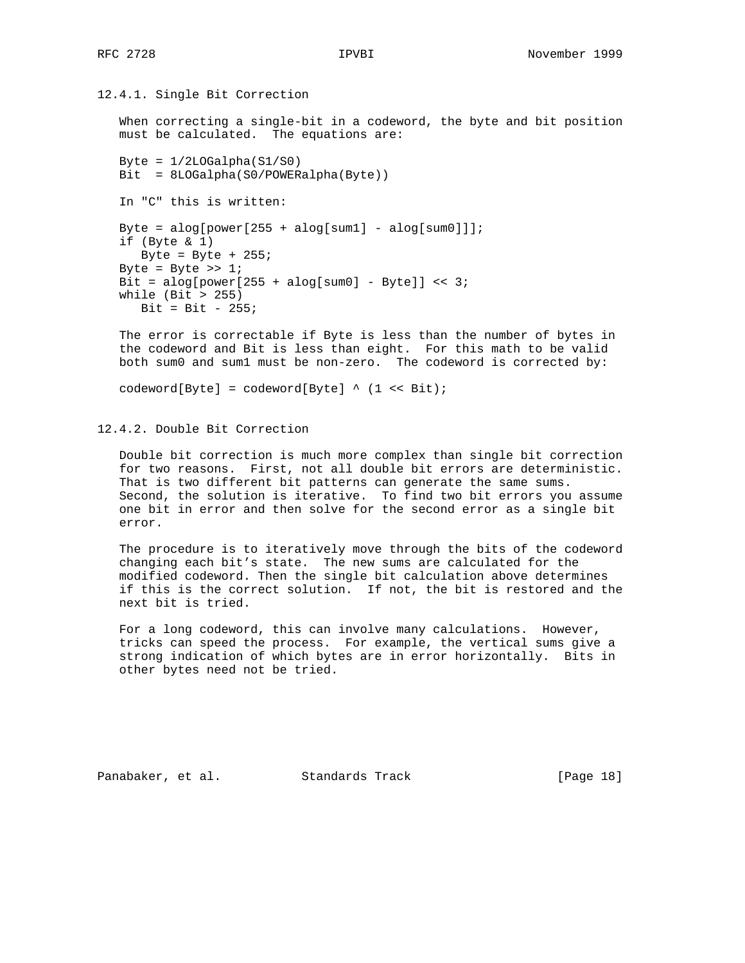12.4.1. Single Bit Correction

 When correcting a single-bit in a codeword, the byte and bit position must be calculated. The equations are:

Byte =  $1/2$ LOGalpha $(S1/S0)$  Bit = 8LOGalpha(S0/POWERalpha(Byte)) In "C" this is written: Byte =  $alog[power[255 + alog[sum1] - alog[sum0]]$ ; if (Byte & 1) Byte = Byte +  $255$ ; Byte = Byte >>  $1$ ; Bit = alog[power[255 + alog[sum0] - Byte]] << 3; while (Bit > 255)  $Bit = Bit - 255;$ 

 The error is correctable if Byte is less than the number of bytes in the codeword and Bit is less than eight. For this math to be valid both sum0 and sum1 must be non-zero. The codeword is corrected by:

codeword[Byte] = codeword[Byte] ^ (1 << Bit);

12.4.2. Double Bit Correction

 Double bit correction is much more complex than single bit correction for two reasons. First, not all double bit errors are deterministic. That is two different bit patterns can generate the same sums. Second, the solution is iterative. To find two bit errors you assume one bit in error and then solve for the second error as a single bit error.

 The procedure is to iteratively move through the bits of the codeword changing each bit's state. The new sums are calculated for the modified codeword. Then the single bit calculation above determines if this is the correct solution. If not, the bit is restored and the next bit is tried.

 For a long codeword, this can involve many calculations. However, tricks can speed the process. For example, the vertical sums give a strong indication of which bytes are in error horizontally. Bits in other bytes need not be tried.

Panabaker, et al. Standards Track [Page 18]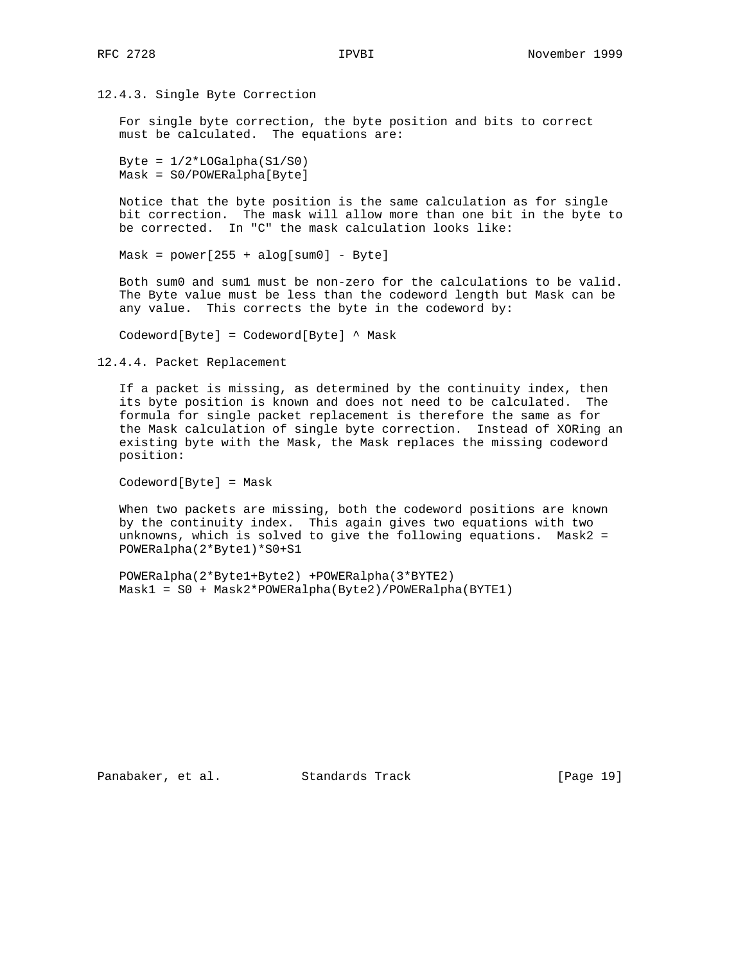### 12.4.3. Single Byte Correction

 For single byte correction, the byte position and bits to correct must be calculated. The equations are:

Byte =  $1/2 *$ LOGalpha( $S1/S0$ ) Mask = S0/POWERalpha[Byte]

 Notice that the byte position is the same calculation as for single bit correction. The mask will allow more than one bit in the byte to be corrected. In "C" the mask calculation looks like:

 $Mask = power[255 + alog[sum0] - Byte]$ 

 Both sum0 and sum1 must be non-zero for the calculations to be valid. The Byte value must be less than the codeword length but Mask can be any value. This corrects the byte in the codeword by:

Codeword[Byte] = Codeword[Byte] ^ Mask

12.4.4. Packet Replacement

 If a packet is missing, as determined by the continuity index, then its byte position is known and does not need to be calculated. The formula for single packet replacement is therefore the same as for the Mask calculation of single byte correction. Instead of XORing an existing byte with the Mask, the Mask replaces the missing codeword position:

Codeword[Byte] = Mask

 When two packets are missing, both the codeword positions are known by the continuity index. This again gives two equations with two unknowns, which is solved to give the following equations. Mask2 = POWERalpha(2\*Byte1)\*S0+S1

 POWERalpha(2\*Byte1+Byte2) +POWERalpha(3\*BYTE2) Mask1 = S0 + Mask2\*POWERalpha(Byte2)/POWERalpha(BYTE1)

Panabaker, et al. Standards Track [Page 19]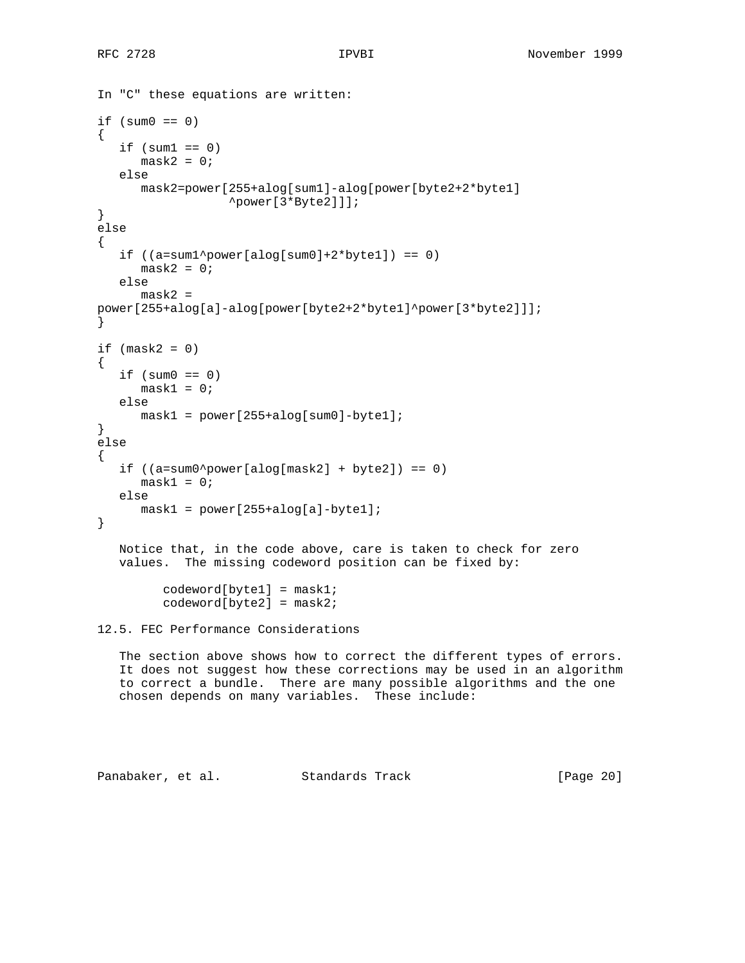```
In "C" these equations are written:
if (sum0 == 0){
   if (sum1 == 0)mask2 = 0; else
       mask2=power[255+alog[sum1]-alog[power[byte2+2*byte1]
                    ^power[3*Byte2]]];
}
else
{
   if ((a=sum1^{\prime}power[along[sum0]+2*piytel]) == 0)mask2 = 0; else
       mask2 =
power[255+alog[a]-alog[power[byte2+2*byte1]^power[3*byte2]]];
}
if (mask2 = 0){
   if (sum0 == 0)mask1 = 0; else
       mask1 = power[255+alog[sum0]-byte1];
}
else
{
   if ((a=sum0^{\text{power}[alog[mask2] + byte2]}) == 0)mask1 = 0; else
      mask1 = power[255 + alog[a]-byte1];}
    Notice that, in the code above, care is taken to check for zero
    values. The missing codeword position can be fixed by:
          codeword[byte1] = mask1;
          codeword[byte2] = mask2;
```

```
12.5. FEC Performance Considerations
```
 The section above shows how to correct the different types of errors. It does not suggest how these corrections may be used in an algorithm to correct a bundle. There are many possible algorithms and the one chosen depends on many variables. These include:

Panabaker, et al. Standards Track [Page 20]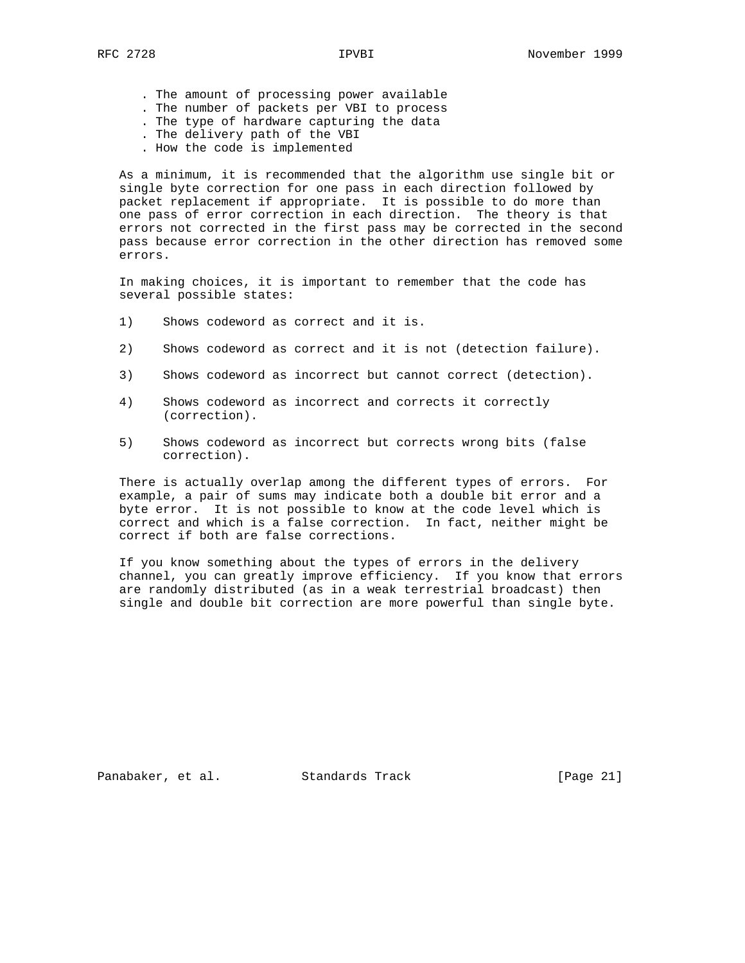- . The amount of processing power available
- . The number of packets per VBI to process
- . The type of hardware capturing the data
- . The delivery path of the VBI
- . How the code is implemented

 As a minimum, it is recommended that the algorithm use single bit or single byte correction for one pass in each direction followed by packet replacement if appropriate. It is possible to do more than one pass of error correction in each direction. The theory is that errors not corrected in the first pass may be corrected in the second pass because error correction in the other direction has removed some errors.

 In making choices, it is important to remember that the code has several possible states:

- 1) Shows codeword as correct and it is.
- 2) Shows codeword as correct and it is not (detection failure).
- 3) Shows codeword as incorrect but cannot correct (detection).
- 4) Shows codeword as incorrect and corrects it correctly (correction).
- 5) Shows codeword as incorrect but corrects wrong bits (false correction).

 There is actually overlap among the different types of errors. For example, a pair of sums may indicate both a double bit error and a byte error. It is not possible to know at the code level which is correct and which is a false correction. In fact, neither might be correct if both are false corrections.

 If you know something about the types of errors in the delivery channel, you can greatly improve efficiency. If you know that errors are randomly distributed (as in a weak terrestrial broadcast) then single and double bit correction are more powerful than single byte.

Panabaker, et al. Standards Track [Page 21]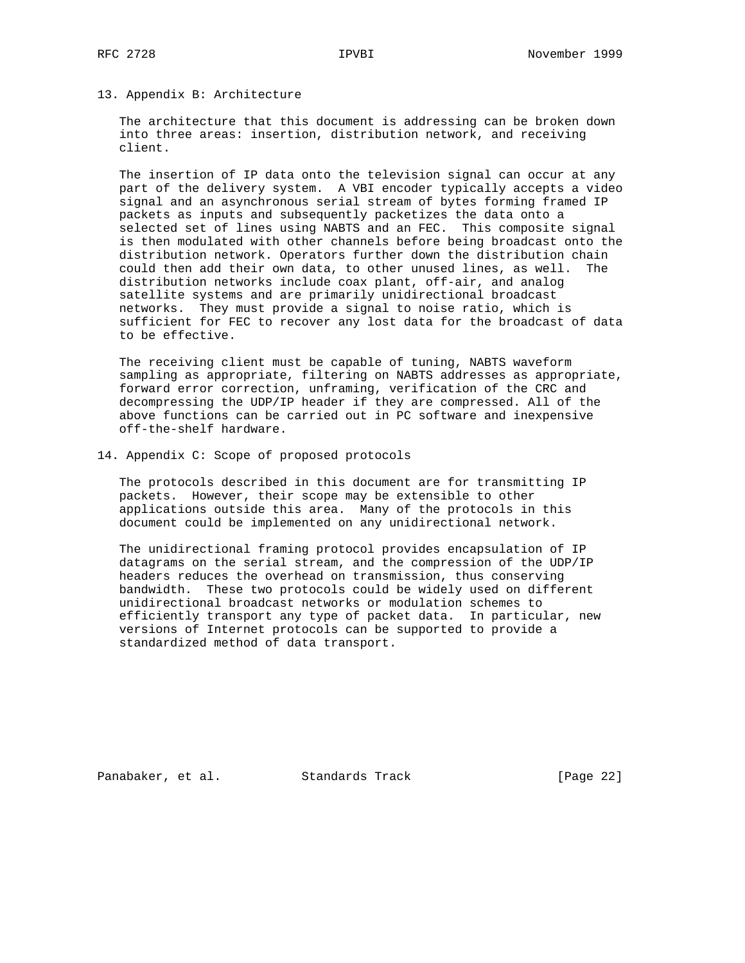# 13. Appendix B: Architecture

 The architecture that this document is addressing can be broken down into three areas: insertion, distribution network, and receiving client.

 The insertion of IP data onto the television signal can occur at any part of the delivery system. A VBI encoder typically accepts a video signal and an asynchronous serial stream of bytes forming framed IP packets as inputs and subsequently packetizes the data onto a selected set of lines using NABTS and an FEC. This composite signal is then modulated with other channels before being broadcast onto the distribution network. Operators further down the distribution chain could then add their own data, to other unused lines, as well. The distribution networks include coax plant, off-air, and analog satellite systems and are primarily unidirectional broadcast networks. They must provide a signal to noise ratio, which is sufficient for FEC to recover any lost data for the broadcast of data to be effective.

 The receiving client must be capable of tuning, NABTS waveform sampling as appropriate, filtering on NABTS addresses as appropriate, forward error correction, unframing, verification of the CRC and decompressing the UDP/IP header if they are compressed. All of the above functions can be carried out in PC software and inexpensive off-the-shelf hardware.

14. Appendix C: Scope of proposed protocols

 The protocols described in this document are for transmitting IP packets. However, their scope may be extensible to other applications outside this area. Many of the protocols in this document could be implemented on any unidirectional network.

 The unidirectional framing protocol provides encapsulation of IP datagrams on the serial stream, and the compression of the UDP/IP headers reduces the overhead on transmission, thus conserving bandwidth. These two protocols could be widely used on different unidirectional broadcast networks or modulation schemes to efficiently transport any type of packet data. In particular, new versions of Internet protocols can be supported to provide a standardized method of data transport.

Panabaker, et al. Standards Track [Page 22]